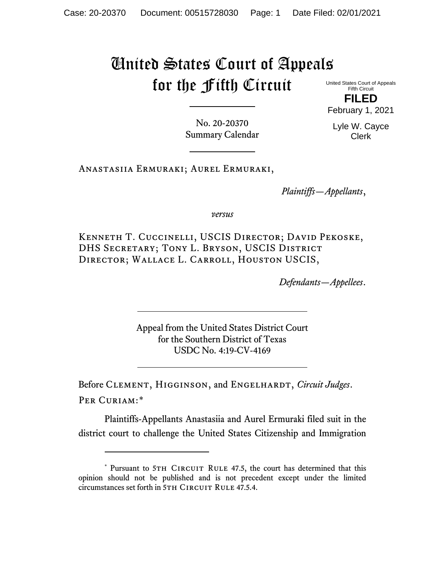# United States Court of Appeals for the Fifth Circuit

United States Court of Appeals Fifth Circuit **FILED** February 1, 2021

> Lyle W. Cayce Clerk

No. 20-20370 Summary Calendar

Anastasiia Ermuraki; Aurel Ermuraki,

*Plaintiffs—Appellants*,

*versus*

Kenneth T. Cuccinelli, USCIS Director; David Pekoske, DHS SECRETARY; TONY L. BRYSON, USCIS DISTRICT Director; Wallace L. Carroll, Houston USCIS,

*Defendants—Appellees*.

Appeal from the United States District Court for the Southern District of Texas USDC No. 4:19-CV-4169

Before CLEMENT, HIGGINSON, and ENGELHARDT, *Circuit Judges*. Per Curiam:[\\*](#page-0-0)

Plaintiffs-Appellants Anastasiia and Aurel Ermuraki filed suit in the district court to challenge the United States Citizenship and Immigration

<span id="page-0-0"></span><sup>\*</sup> Pursuant to 5TH CIRCUIT RULE 47.5, the court has determined that this opinion should not be published and is not precedent except under the limited circumstances set forth in 5TH CIRCUIT RULE 47.5.4.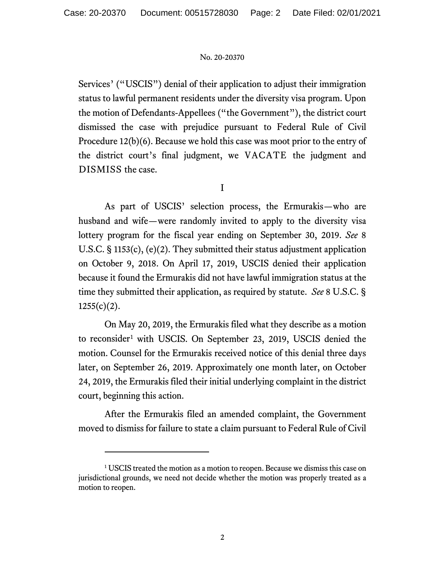Services' ("USCIS") denial of their application to adjust their immigration status to lawful permanent residents under the diversity visa program. Upon the motion of Defendants-Appellees ("the Government"), the district court dismissed the case with prejudice pursuant to Federal Rule of Civil Procedure 12(b)(6). Because we hold this case was moot prior to the entry of the district court's final judgment, we VACATE the judgment and DISMISS the case.

I

As part of USCIS' selection process, the Ermurakis—who are husband and wife—were randomly invited to apply to the diversity visa lottery program for the fiscal year ending on September 30, 2019. *See* 8 U.S.C. § 1153(c), (e)(2). They submitted their status adjustment application on October 9, 2018. On April 17, 2019, USCIS denied their application because it found the Ermurakis did not have lawful immigration status at the time they submitted their application, as required by statute. *See* 8 U.S.C. §  $1255(c)(2)$ .

On May 20, 2019, the Ermurakis filed what they describe as a motion to reconsider<sup>[1](#page-1-0)</sup> with USCIS. On September 23, 2019, USCIS denied the motion. Counsel for the Ermurakis received notice of this denial three days later, on September 26, 2019. Approximately one month later, on October 24, 2019, the Ermurakis filed their initial underlying complaint in the district court, beginning this action.

After the Ermurakis filed an amended complaint, the Government moved to dismiss for failure to state a claim pursuant to Federal Rule of Civil

<span id="page-1-0"></span><sup>&</sup>lt;sup>1</sup> USCIS treated the motion as a motion to reopen. Because we dismiss this case on jurisdictional grounds, we need not decide whether the motion was properly treated as a motion to reopen.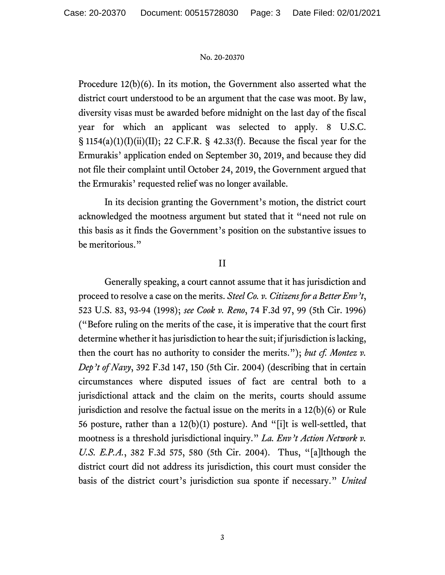Procedure 12(b)(6). In its motion, the Government also asserted what the district court understood to be an argument that the case was moot. By law, diversity visas must be awarded before midnight on the last day of the fiscal year for which an applicant was selected to apply. 8 U.S.C.  $\S$  1154(a)(1)(I)(ii)(II); 22 C.F.R.  $\S$  42.33(f). Because the fiscal year for the Ermurakis' application ended on September 30, 2019, and because they did not file their complaint until October 24, 2019, the Government argued that the Ermurakis' requested relief was no longer available.

In its decision granting the Government's motion, the district court acknowledged the mootness argument but stated that it "need not rule on this basis as it finds the Government's position on the substantive issues to be meritorious."

## II

Generally speaking, a court cannot assume that it has jurisdiction and proceed to resolve a case on the merits. *Steel Co. v. Citizens for a Better Env't*, 523 U.S. 83, 93-94 (1998); *see Cook v. Reno*, 74 F.3d 97, 99 (5th Cir. 1996) ("Before ruling on the merits of the case, it is imperative that the court first determine whether it has jurisdiction to hear the suit; if jurisdiction is lacking, then the court has no authority to consider the merits."); *but cf. Montez v. Dep't of Navy*, 392 F.3d 147, 150 (5th Cir. 2004) (describing that in certain circumstances where disputed issues of fact are central both to a jurisdictional attack and the claim on the merits, courts should assume jurisdiction and resolve the factual issue on the merits in a 12(b)(6) or Rule 56 posture, rather than a 12(b)(1) posture). And "[i]t is well-settled, that mootness is a threshold jurisdictional inquiry." *La. Env't Action Network v. U.S. E.P.A.*, 382 F.3d 575, 580 (5th Cir. 2004). Thus, "[a]lthough the district court did not address its jurisdiction, this court must consider the basis of the district court's jurisdiction sua sponte if necessary." *United*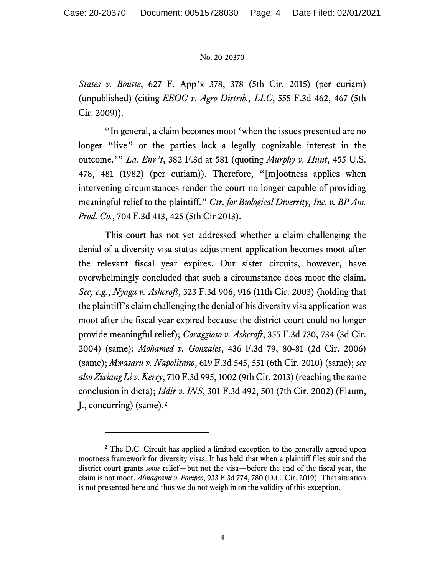*States v. Boutte*, 627 F. App'x 378, 378 (5th Cir. 2015) (per curiam) (unpublished) (citing *EEOC v. Agro Distrib., LLC*, 555 F.3d 462, 467 (5th Cir. 2009)).

"In general, a claim becomes moot 'when the issues presented are no longer "live" or the parties lack a legally cognizable interest in the outcome.'" *La. Env't*, 382 F.3d at 581 (quoting *Murphy v. Hunt*, 455 U.S. 478, 481 (1982) (per curiam)). Therefore, "[m]ootness applies when intervening circumstances render the court no longer capable of providing meaningful relief to the plaintiff." *Ctr. for Biological Diversity, Inc. v. BP Am. Prod. Co.*, 704 F.3d 413, 425 (5th Cir 2013).

This court has not yet addressed whether a claim challenging the denial of a diversity visa status adjustment application becomes moot after the relevant fiscal year expires. Our sister circuits, however, have overwhelmingly concluded that such a circumstance does moot the claim. *See, e.g.*, *Nyaga v. Ashcroft*, 323 F.3d 906, 916 (11th Cir. 2003) (holding that the plaintiff's claim challenging the denial of his diversity visa application was moot after the fiscal year expired because the district court could no longer provide meaningful relief); *Coraggioso v. Ashcroft*, 355 F.3d 730, 734 (3d Cir. 2004) (same); *Mohamed v. Gonzales*, 436 F.3d 79, 80-81 (2d Cir. 2006) (same); *Mwasaru v. Napolitano*, 619 F.3d 545, 551 (6th Cir. 2010) (same); *see also Zixiang Li v. Kerry*, 710 F.3d 995, 1002 (9th Cir. 2013) (reaching the same conclusion in dicta); *Iddir v. INS*, 301 F.3d 492, 501 (7th Cir. 2002) (Flaum, J., concurring) (same).<sup>[2](#page-3-0)</sup>

<span id="page-3-0"></span><sup>&</sup>lt;sup>2</sup> The D.C. Circuit has applied a limited exception to the generally agreed upon mootness framework for diversity visas. It has held that when a plaintiff files suit and the district court grants *some* relief—but not the visa—before the end of the fiscal year, the claim is not moot. *Almaqrami v. Pompeo*, 933 F.3d 774, 780 (D.C. Cir. 2019). That situation is not presented here and thus we do not weigh in on the validity of this exception.